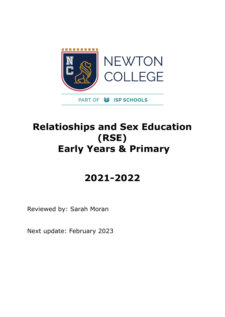

# **Relatioships and Sex Education (RSE) Early Years & Primary**

# **2021-2022**

Reviewed by: Sarah Moran

Next update: February 2023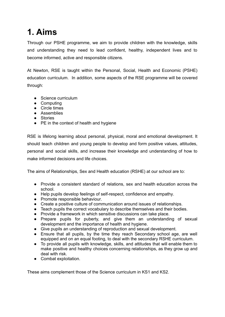# **1. Aims**

Through our PSHE programme, we aim to provide children with the knowledge, skills and understanding they need to lead confident, healthy, independent lives and to become informed, active and responsible citizens.

At Newton, RSE is taught within the Personal, Social, Health and Economic (PSHE) education curriculum. In addition, some aspects of the RSE programme will be covered through:

- Science curriculum
- Computing
- Circle times
- Assemblies
- Stories
- PE in the context of health and hygiene

RSE is lifelong learning about personal, physical, moral and emotional development. It should teach children and young people to develop and form positive values, attitudes, personal and social skills, and increase their knowledge and understanding of how to make informed decisions and life choices.

The aims of Relationships, Sex and Health education (RSHE) at our school are to:

- Provide a consistent standard of relations, sex and health education across the school.
- Help pupils develop feelings of self-respect, confidence and empathy.
- Promote responsible behaviour.
- Create a positive culture of communication around issues of relationships.
- Teach pupils the correct vocabulary to describe themselves and their bodies.
- Provide a framework in which sensitive discussions can take place.
- Prepare pupils for puberty, and give them an understanding of sexual development and the importance of health and hygiene.
- Give pupils an understanding of reproduction and sexual development.
- Ensure that all pupils, by the time they reach Secondary school age, are well equipped and on an equal footing, to deal with the secondary RSHE curriculum.
- To provide all pupils with knowledge, skills, and attitudes that will enable them to make positive and healthy choices concerning relationships, as they grow up and deal with risk.
- Combat exploitation.

These aims complement those of the Science curriculum in KS1 and KS2.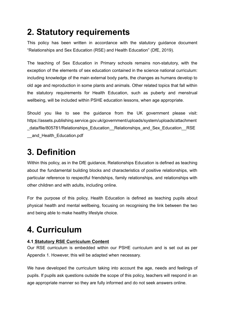## **2. Statutory requirements**

This policy has been written in accordance with the statutory guidance document "Relationships and Sex Education (RSE) and Health Education" (DfE, 2019).

The teaching of Sex Education in Primary schools remains non-statutory, with the exception of the elements of sex education contained in the science national curriculum: including knowledge of the main external body parts, the changes as humans develop to old age and reproduction in some plants and animals. Other related topics that fall within the statutory requirements for Health Education, such as puberty and menstrual wellbeing, will be included within PSHE education lessons, when age appropriate.

Should you like to see the guidance from the UK government please visit: [https://assets.publishing.service.gov.uk/government/uploads/system/uploads/attachment](https://assets.publishing.service.gov.uk/government/uploads/system/uploads/attachment_data/file/805781/Relationships_Education__Relationships_and_Sex_Education__RSE__and_Health_Education.pdf) [\\_data/file/805781/Relationships\\_Education\\_\\_Relationships\\_and\\_Sex\\_Education\\_\\_RSE](https://assets.publishing.service.gov.uk/government/uploads/system/uploads/attachment_data/file/805781/Relationships_Education__Relationships_and_Sex_Education__RSE__and_Health_Education.pdf) [\\_\\_and\\_Health\\_Education.pdf](https://assets.publishing.service.gov.uk/government/uploads/system/uploads/attachment_data/file/805781/Relationships_Education__Relationships_and_Sex_Education__RSE__and_Health_Education.pdf)

## **3. Definition**

Within this policy, as in the DfE guidance, Relationships Education is defined as teaching about the fundamental building blocks and characteristics of positive relationships, with particular reference to respectful friendships, family relationships, and relationships with other children and with adults, including online.

For the purpose of this policy, Health Education is defined as teaching pupils about physical health and mental wellbeing, focusing on recognising the link between the two and being able to make healthy lifestyle choice.

# **4. Curriculum**

### **4.1 Statutory RSE Curriculum Content**

Our RSE curriculum is embedded within our PSHE curriculum and is set out as per Appendix 1. However, this will be adapted when necessary.

We have developed the curriculum taking into account the age, needs and feelings of pupils. If pupils ask questions outside the scope of this policy, teachers will respond in an age appropriate manner so they are fully informed and do not seek answers online.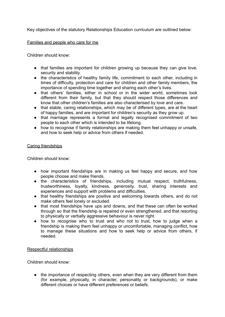Key objectives of the statutory Relationships Education curriculum are outlined below:

#### Families and people who care for me

Children should know:

- that families are important for children growing up because they can give love, security and stability.
- the characteristics of healthy family life, commitment to each other, including in times of difficulty, protection and care for children and other family members, the importance of spending time together and sharing each other's lives.
- that others' families, either in school or in the wider world, sometimes look different from their family, but that they should respect those differences and know that other children's families are also characterised by love and care.
- that stable, caring relationships, which may be of different types, are at the heart of happy families, and are important for children's security as they grow up.
- that marriage represents a formal and legally recognised commitment of two people to each other which is intended to be lifelong.
- how to recognise if family relationships are making them feel unhappy or unsafe, and how to seek help or advice from others if needed.

#### Caring friendships

Children should know:

- how important friendships are in making us feel happy and secure, and how people choose and make friends.
- the characteristics of friendships, including mutual respect, truthfulness, trustworthiness, loyalty, kindness, generosity, trust, sharing interests and experiences and support with problems and difficulties.
- that healthy friendships are positive and welcoming towards others, and do not make others feel lonely or excluded.
- that most friendships have ups and downs, and that these can often be worked through so that the friendship is repaired or even strengthened, and that resorting to physically or verbally aggressive behaviour is never right.
- how to recognise who to trust and who not to trust, how to judge when a friendship is making them feel unhappy or uncomfortable, managing conflict, how to manage these situations and how to seek help or advice from others, if needed.

#### Respectful relationships

Children should know:

• the importance of respecting others, even when they are very different from them (for example, physically, in character, personality or backgrounds), or make different choices or have different preferences or beliefs.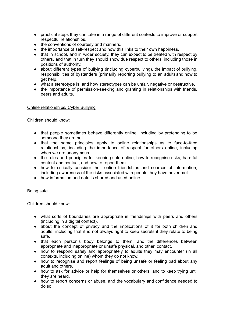- practical steps they can take in a range of different contexts to improve or support respectful relationships.
- the conventions of courtesy and manners.
- the importance of self-respect and how this links to their own happiness.
- that in school, and in wider society, they can expect to be treated with respect by others, and that in turn they should show due respect to others, including those in positions of authority.
- about different types of bullying (including cyberbullying), the impact of bullying, responsibilities of bystanders (primarily reporting bullying to an adult) and how to get help.
- what a stereotype is, and how stereotypes can be unfair, negative or destructive.
- the importance of permission-seeking and granting in relationships with friends, peers and adults.

#### Online relationships/ Cyber Bullying

Children should know:

- that people sometimes behave differently online, including by pretending to be someone they are not.
- that the same principles apply to online relationships as to face-to-face relationships, including the importance of respect for others online, including when we are anonymous.
- the rules and principles for keeping safe online, how to recognise risks, harmful content and contact, and how to report them.
- how to critically consider their online friendships and sources of information, including awareness of the risks associated with people they have never met.
- how information and data is shared and used online.

#### Being safe

Children should know:

- what sorts of boundaries are appropriate in friendships with peers and others (including in a digital context).
- about the concept of privacy and the implications of it for both children and adults, including that it is not always right to keep secrets if they relate to being safe.
- that each person's body belongs to them, and the differences between appropriate and inappropriate or unsafe physical, and other, contact.
- how to respond safely and appropriately to adults they may encounter (in all contexts, including online) whom they do not know.
- how to recognise and report feelings of being unsafe or feeling bad about any adult and others.
- how to ask for advice or help for themselves or others, and to keep trying until they are heard.
- how to report concerns or abuse, and the vocabulary and confidence needed to do so.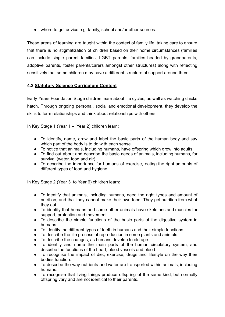● where to get advice e.g. family, school and/or other sources.

These areas of learning are taught within the context of family life, taking care to ensure that there is no stigmatization of children based on their home circumstances (families can include single parent families, LGBT parents, families headed by grandparents, adoptive parents, foster parents/carers amongst other structures) along with reflecting sensitively that some children may have a different structure of support around them.

### **4.2 Statutory Science Curriculum Content**

Early Years Foundation Stage children learn about life cycles, as well as watching chicks hatch. Through ongoing personal, social and emotional development, they develop the skills to form relationships and think about relationships with others.

In Key Stage 1 (Year 1 – Year 2) children learn:

- To identify, name, draw and label the basic parts of the human body and say which part of the body is to do with each sense.
- To notice that animals, including humans, have offspring which grow into adults.
- To find out about and describe the basic needs of animals, including humans, for survival (water, food and air).
- To describe the importance for humans of exercise, eating the right amounts of different types of food and hygiene.

In Key Stage 2 (Year 3 to Year 6) children learn:

- To identify that animals, including humans, need the right types and amount of nutrition, and that they cannot make their own food. They get nutrition from what they eat.
- To identify that humans and some other animals have skeletons and muscles for support, protection and movement.
- To describe the simple functions of the basic parts of the digestive system in humans.
- To identify the different types of teeth in humans and their simple functions.
- To describe the life process of reproduction in some plants and animals.
- To describe the changes, as humans develop to old age.
- To identify and name the main parts of the human circulatory system, and describe the functions of the heart, blood vessels and blood.
- To recognise the impact of diet, exercise, drugs and lifestyle on the way their bodies function.
- To describe the way nutrients and water are transported within animals, including humans.
- To recognise that living things produce offspring of the same kind, but normally offspring vary and are not identical to their parents.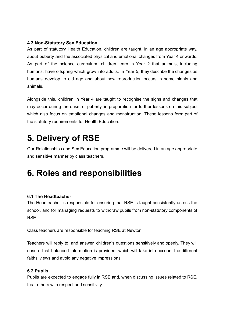### **4.3 Non-Statutory Sex Education**

As part of statutory Health Education, children are taught, in an age appropriate way, about puberty and the associated physical and emotional changes from Year 4 onwards. As part of the science curriculum, children learn in Year 2 that animals, including humans, have offspring which grow into adults. In Year 5, they describe the changes as humans develop to old age and about how reproduction occurs in some plants and animals.

Alongside this, children in Year 4 are taught to recognise the signs and changes that may occur during the onset of puberty, in preparation for further lessons on this subject which also focus on emotional changes and menstruation. These lessons form part of the statutory requirements for Health Education.

## **5. Delivery of RSE**

Our Relationships and Sex Education programme will be delivered in an age appropriate and sensitive manner by class teachers.

## **6. Roles and responsibilities**

### **6.1 The Headteacher**

The Headteacher is responsible for ensuring that RSE is taught consistently across the school, and for managing requests to withdraw pupils from non-statutory components of RSE.

Class teachers are responsible for teaching RSE at Newton.

Teachers will reply to, and answer, children's questions sensitively and openly. They will ensure that balanced information is provided, which will take into account the different faiths' views and avoid any negative impressions.

#### **6.2 Pupils**

Pupils are expected to engage fully in RSE and, when discussing issues related to RSE, treat others with respect and sensitivity.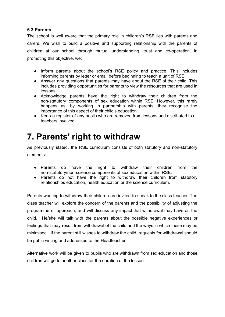#### **6.3 Parents**

The school is well aware that the primary role in children's RSE lies with parents and carers. We wish to build a positive and supporting relationship with the parents of children at our school through mutual understanding, trust and co-operation. In promoting this objective, we:

- Inform parents about the school's RSE policy and practice. This includes informing parents by letter or email before beginning to teach a unit of RSE.
- Answer any questions that parents may have about the RSE of their child. This includes providing opportunities for parents to view the resources that are used in lessons.
- Acknowledge parents have the right to withdraw their children from the non-statutory components of sex education within RSE. However, this rarely happens as, by working in partnership with parents, they recognise the importance of this aspect of their child's education.
- Keep a register of any pupils who are removed from lessons and distributed to all teachers involved.

## **7. Parents' right to withdraw**

As previously stated, the RSE curriculum consists of both statutory and non-statutory elements:

- Parents do have the right to withdraw their children from the non-statutory/non-science components of sex education within RSE.
- Parents do not have the right to withdraw their children from statutory relationships education, health education or the science curriculum.

Parents wanting to withdraw their children are invited to speak to the class teacher. The class teacher will explore the concern of the parents and the possibility of adjusting the programme or approach, and will discuss any impact that withdrawal may have on the child. He/she will talk with the parents about the possible negative experiences or feelings that may result from withdrawal of the child and the ways in which these may be minimised. If the parent still wishes to withdraw the child, requests for withdrawal should be put in writing and addressed to the Headteacher.

Alternative work will be given to pupils who are withdrawn from sex education and those children will go to another class for the duration of the lesson.